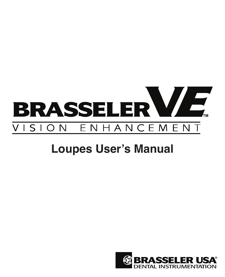

## **Loupes User's Manual**

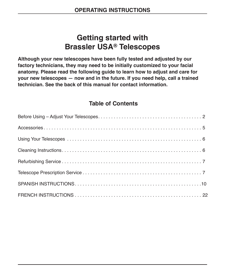## **Getting started with Brassler USA® Telescopes**

**Although your new telescopes have been fully tested and adjusted by our factory technicians, they may need to be initially customized to your facial anatomy. Please read the following guide to learn how to adjust and care for your new telescopes — now and in the future. If you need help, call a trained technician. See the back of this manual for contact information.**

#### **Table of Contents**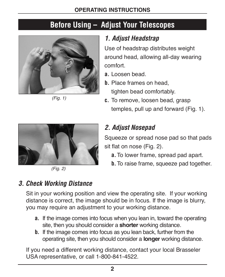## **Before Using – Adjust Your Telescopes**



(Fig. 1)



Use of headstrap distributes weight around head, allowing all-day wearing comfort.

- **a.** Loosen bead.
- **b.** Place frames on head, tighten bead comfortably.
- **c.** To remove, loosen bead, grasp temples, pull up and forward (Fig. 1).

## *2. Adjust Nosepad*

Squeeze or spread nose pad so that pads sit flat on nose (Fig. 2).

- **a.** To lower frame, spread pad apart.
- **b.** To raise frame, squeeze pad together.



Sit in your working position and view the operating site. If your working distance is correct, the image should be in focus. If the image is blurry, you may require an adjustment to your working distance.

- **a.** If the image comes into focus when you lean in, toward the operating site, then you should consider a **shorter** working distance.
- **b.** If the image comes into focus as you lean back, further from the operating site, then you should consider a **longer** working distance.

If you need a different working distance, contact your local Brasseler USA representative, or call 1-800-841-4522.



(Fig. 2)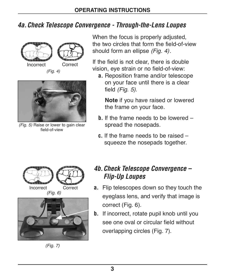## *4a.Check Telescope Convergence - Through-the-Lens Loupes*



(Fig. 4)



(Fig. 5) Raise or lower to gain clear field-of-view

When the focus is properly adjusted. the two circles that form the field-of-view should form an ellipse (Fig. 4).

If the field is not clear, there is double vision, eye strain or no field-of-view:

 **a.** Reposition frame and/or telescope on your face until there is a clear field (Fig. 5).

 **Note** if you have raised or lowered the frame on your face.

- **b.** If the frame needs to be lowered spread the nosepads.
- **c.** If the frame needs to be raised squeeze the nosepads together.





(Fig. 7)

## *4b.Check Telescope Convergence – Flip-Up Loupes*

- Incorrect Correct **a.**  Flip telescopes down so they touch the eyeglass lens, and verify that image is correct (Fig. 6).
	- **b.** If incorrect, rotate pupil knob until you see one oval or circular field without overlapping circles (Fig. 7).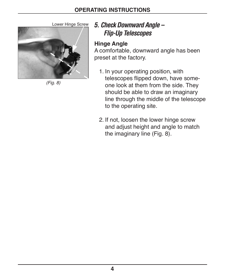



(Fig. 8)

## Lower Hinge Screw *5. Check Downward Angle – Flip-Up Telescopes*

#### **Hinge Angle**

A comfortable, downward angle has been preset at the factory.

- 1. In your operating position, with telescopes flipped down, have someone look at them from the side. They should be able to draw an imaginary line through the middle of the telescope to the operating site.
- 2. If not, loosen the lower hinge screw and adjust height and angle to match the imaginary line (Fig. 8).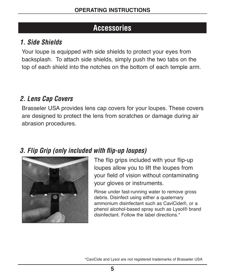## **Accessories**

## *1. Side Shields*

Your loupe is equipped with side shields to protect your eyes from backsplash. To attach side shields, simply push the two tabs on the top of each shield into the notches on the bottom of each temple arm.

## *2. Lens Cap Covers*

Brasseler USA provides lens cap covers for your loupes. These covers are designed to protect the lens from scratches or damage during air abrasion procedures.

## *3. Flip Grip (only included with flip-up loupes)*



The flip grips included with your flip-up loupes allow you to lift the loupes from your field of vision without contaminating your gloves or instruments.

Rinse under fast-running water to remove gross debris. Disinfect using either a quaternary ammonium disinfectant such as CaviCide®, or a phenol alcohol-based spray such as Lysol® brand disinfectant. Follow the label directions.\*

\*CaviCide and Lysol are not registered trademarks of Brasseler USA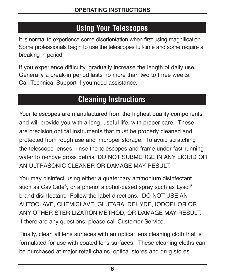## **Using Your Telescopes**

It is normal to experience some disorientation when first using magnification. Some professionals begin to use the telescopes full-time and some require a breaking-in period.

If you experience difficulty, gradually increase the length of daily use. Generally a break-in period lasts no more than two to three weeks. Call Technical Support if you need assistance.

## **Cleaning Instructions**

Your telescopes are manufactured from the highest quality components and will provide you with a long, useful life, with proper care. These are precision optical instruments that must be properly cleaned and protected from rough use and improper storage. To avoid scratching the telescope lenses, rinse the telescopes and frame under fast-running water to remove gross debris. DO NOT SUBMERGE IN ANY LIQUID OR AN ULTRASONIC CLEANER OR DAMAGE MAY RESULT.

You may disinfect using either a quaternary ammonium disinfectant such as CaviCide®, or a phenol alcohol-based spray such as Lysol® brand disinfectant. Follow the label directions. DO NOT USE AN AUTOCLAVE, CHEMICLAVE, GLUTARALDEHYDE, IODOPHOR OR ANY OTHER STERILIZATION METHOD, OR DAMAGE MAY RESULT. If there are any questions, please call Customer Service.

Finally, clean all lens surfaces with an optical lens cleaning cloth that is formulated for use with coated lens surfaces. These cleaning cloths can be purchased at major retail chains, optical stores and drug stores.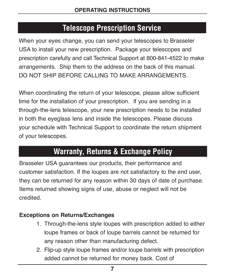## **Telescope Prescription Service**

When your eyes change, you can send your telescopes to Brasseler USA to install your new prescription. Package your telescopes and prescription carefully and call Technical Support at 800-841-4522 to make arrangements. Ship them to the address on the back of this manual. DO NOT SHIP BEFORE CALLING TO MAKE ARRANGEMENTS.

When coordinating the return of your telescope, please allow sufficient time for the installation of your prescription. If you are sending in a through-the-lens telescope, your new prescription needs to be installed in both the eyeglass lens and inside the telescopes. Please discuss your schedule with Technical Support to coordinate the return shipment of your telescopes.

## **Warranty, Returns & Exchange Policy**

Brasseler USA guarantees our products, their performance and customer satisfaction. If the loupes are not satisfactory to the end user, they can be returned for any reason within 30 days of date of purchase. Items returned showing signs of use, abuse or neglect will not be credited.

#### **Exceptions on Returns/Exchanges**

- 1. Through-the-lens style loupes with prescription added to either loupe frames or back of loupe barrels cannot be returned for any reason other than manufacturing defect.
- 2. Flip-up style loupe frames and/or loupe barrels with prescription added cannot be returned for money back. Cost of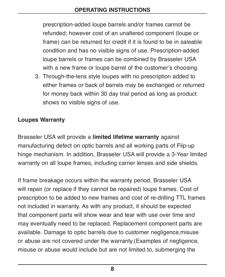prescription-added loupe barrels and/or frames cannot be refunded; however cost of an unaltered component (loupe or frame) can be returned for credit if it is found to be in saleable condition and has no visible signs of use. Prescription-added loupe barrels or frames can be combined by Brasseler USA with a new frame or loupe barrel of the customer's choosing.

3. Through-the-lens style loupes with no prescription added to either frames or back of barrels may be exchanged or returned for money back within 30 day trial period as long as product shows no visible signs of use.

#### **Loupes Warranty**

Brasseler USA will provide a **limited lifetime warranty** against manufacturing defect on optic barrels and all working parts of Flip-up hinge mechanism. In addition, Brasseler USA will provide a 3-Year limited warranty on all loupe frames, including carrier lenses and side shields.

If frame breakage occurs within the warranty period, Brasseler USA will repair (or replace if they cannot be repaired) loupe frames. Cost of prescription to be added to new frames and cost of re-drilling TTL frames not included in warranty. As with any product, it should be expected that component parts will show wear and tear with use over time and may eventually need to be replaced. Replacement component parts are available. Damage to optic barrels due to customer negligence,misuse or abuse are not covered under the warranty.(Examples of negligence, misuse or abuse would include but are not limited to, submerging the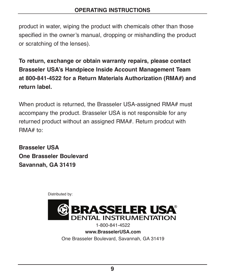product in water, wiping the product with chemicals other than those specified in the owner's manual, dropping or mishandling the product or scratching of the lenses).

**To return, exchange or obtain warranty repairs, please contact Brasseler USA's Handpiece Inside Account Management Team at 800-841-4522 for a Return Materials Authorization (RMA#) and return label.**

When product is returned, the Brasseler USA-assigned RMA# must accompany the product. Brasseler USA is not responsible for any returned product without an assigned RMA#. Return prodcut with RMA# to:

**Brasseler USA One Brasseler Boulevard Savannah, GA 31419**

Distributed by:



1-800-841-4522 **www.BrasselerUSA.com** One Brasseler Boulevard, Savannah, GA 31419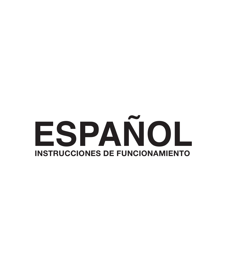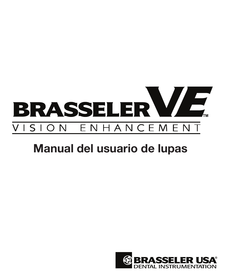

# Manual del usuario de lupas

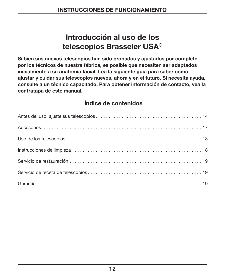## Introducción al uso de los telescopios Brasseler USA®

Si bien sus nuevos telescopios han sido probados y ajustados por completo por los técnicos de nuestra fábrica, es posible que necesiten ser adaptados inicialmente a su anatomía facial. Lea la siguiente guía para saber cómo ajustar y cuidar sus telescopios nuevos, ahora y en el futuro. Si necesita ayuda, consulte a un técnico capacitado. Para obtener información de contacto, vea la contratapa de este manual.

#### Índice de contenidos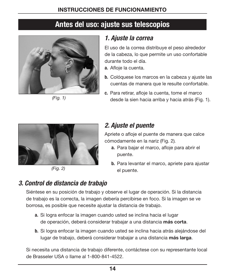## Antes del uso: ajuste sus telescopios



(Fig. 1)

## 1. Ajuste la correa

El uso de la correa distribuye el peso alrededor de la cabeza, lo que permite un uso confortable durante todo el día.

- a. Afloje la cuenta.
- b. Colóquese los marcos en la cabeza y ajuste las cuentas de manera que le resulte confortable.
- c. Para retirar, afloje la cuenta, tome el marco desde la sien hacia arriba y hacia atrás (Fig. 1).



(Fig. 2)

## 2. Ajuste el puente

Apriete o afloje el puente de manera que calce cómodamente en la nariz (Fig. 2).

- a. Para bajar el marco, afloje para abrir el puente.
- b. Para levantar el marco, apriete para ajustar el puente.

## 3. Control de distancia de trabajo

Siéntese en su posición de trabajo y observe el lugar de operación. Si la distancia de trabajo es la correcta, la imagen debería percibirse en foco. Si la imagen se ve borrosa, es posible que necesite ajustar la distancia de trabajo.

- a. Si logra enfocar la imagen cuando usted se inclina hacia el lugar de operación, deberá considerar trabajar a una distancia más corta.
- b. Si logra enfocar la imagen cuando usted se inclina hacia atrás alejándose del lugar de trabajo, deberá considerar trabajar a una distancia más larga.

Si necesita una distancia de trabajo diferente, contáctese con su representante local de Brasseler USA o llame al 1-800-841-4522.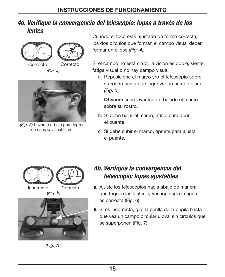#### 4a. Verifique la convergencia del telescopio: lupas a través de las lentes



(Fig. 4)



(Fig. 5) Levante o baje para lograr un campo visual claro

Cuando el foco esté ajustado de forma correcta, los dos círculos que forman el campo visual deben formar un elipse (Fig. 4).

Si el campo no está claro, la visión es doble, siente fatiga visual o no hay campo visual:

a. Reposicione el marco y/o el telescopio sobre su rostro hasta que logre ver un campo claro (Fig. 5).

 Observe si ha levantado o bajado el marco sobre su rostro.

- b. Si debe bajar el marco, afloje para abrir el puente.
- c. Si debe subir el marco, apriete para ajustar el puente.





(Fig. 7)

#### 4b. Verifique la convergencia del telescopio: lupas ajustables

- Incorrecto Correcto a. Ajuste los telescopios hacia abajo de manera que toquen las lentes, y verifique si la imagen es correcta (Fig. 6).
	- b. Si es incorrecta, gire la perilla de la pupila hasta que vea un campo circular u oval sin círculos que se superponen (Fig. 7).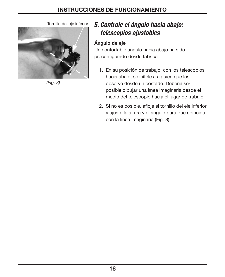

(Fig. 8)

## Tornillo del eje inferior 5. Controle el ángulo hacia abajo: telescopios ajustables

#### Ángulo de eje

Un confortable ángulo hacia abajo ha sido preconfigurado desde fábrica.

- 1. En su posición de trabajo, con los telescopios hacia abajo, solicítele a alguien que los observe desde un costado. Debería ser posible dibujar una línea imaginaria desde el medio del telescopio hacia el lugar de trabajo.
- 2. Si no es posible, afloje el tornillo del eje inferior y ajuste la altura y el ángulo para que coincida con la línea imaginaria (Fig. 8).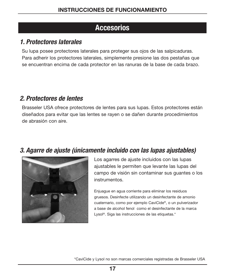## Accesorios

#### 1. Protectores laterales

Su lupa posee protectores laterales para proteger sus ojos de las salpicaduras. Para adherir los protectores laterales, simplemente presione las dos pestañas que se encuentran encima de cada protector en las ranuras de la base de cada brazo.

#### 2. Protectores de lentes

Brasseler USA ofrece protectores de lentes para sus lupas. Estos protectores están diseñados para evitar que las lentes se rayen o se dañen durante procedimientos de abrasión con aire.

#### 3. Agarre de ajuste (únicamente incluido con las lupas ajustables)



Los agarres de ajuste incluidos con las lupas ajustables le permiten que levante las lupas del campo de visión sin contaminar sus guantes o los instrumentos.

Enjuague en agua corriente para eliminar los residuos gruesos. Desinfecte utilizando un desinfectante de amonio cuaternario, como por ejemplo CaviCide®, o un pulverizador a base de alcohol fenol como el desinfectante de la marca Lysol®. Siga las instrucciones de las etiquetas.\*

\*CaviCide y Lysol no son marcas comerciales registradas de Brasseler USA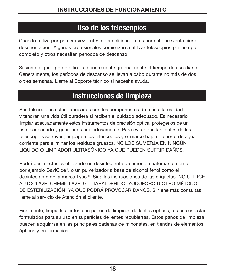## Uso de los telescopios

Cuando utiliza por primera vez lentes de amplificación, es normal que sienta cierta desorientación. Algunos profesionales comienzan a utilizar telescopios por tiempo completo y otros necesitan períodos de descanso.

Si siente algún tipo de dificultad, incremente gradualmente el tiempo de uso diario. Generalmente, los períodos de descanso se llevan a cabo durante no más de dos o tres semanas. Llame al Soporte técnico si necesita ayuda.

## Instrucciones de limpieza

Sus telescopios están fabricados con los componentes de más alta calidad y tendrán una vida útil duradera si reciben el cuidado adecuado. Es necesario limpiar adecuadamente estos instrumentos de precisión óptica, protegerlos de un uso inadecuado y guardarlos cuidadosamente. Para evitar que las lentes de los telescopios se rayen, enjuague los telescopios y el marco bajo un chorro de agua corriente para eliminar los residuos gruesos. NO LOS SUMERJA EN NINGÚN LÍQUIDO O LIMPIADOR ULTRASÓNICO YA QUE PUEDEN SUFRIR DAÑOS.

Podrá desinfectarlos utilizando un desinfectante de amonio cuaternario, como por ejemplo CaviCide®, o un pulverizador a base de alcohol fenol como el desinfectante de la marca Lysol®. Siga las instrucciones de las etiquetas. NO UTILICE AUTOCLAVE, CHEMICLAVE, GLUTARALDEHIDO, YODÓFORO U OTRO MÉTODO DE ESTERILIZACIÓN, YA QUE PODRÁ PROVOCAR DAÑOS. Si tiene más consultas, llame al servicio de Atención al cliente.

Finalmente, limpie las lentes con paños de limpieza de lentes ópticas, los cuales están formulados para su uso en superficies de lentes recubiertas. Estos paños de limpieza pueden adquirirse en las principales cadenas de minoristas, en tiendas de elementos ópticos y en farmacias.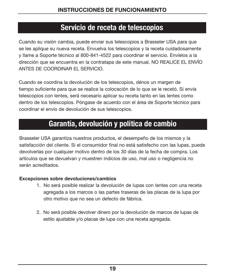## Servicio de receta de telescopios

Cuando su visión cambia, puede enviar sus telescopios a Brasseler USA para que se les aplique su nueva receta. Envuelva los telescopios y la receta cuidadosamente y llame a Soporte técnico al 800-841-4522 para coordinar el servicio. Envíelos a la dirección que se encuentra en la contratapa de este manual. NO REALICE EL ENVÍO ANTES DE COORDINAR EL SERVICIO.

Cuando se coordina la devolución de los telescopios, dénos un margen de tiempo suficiente para que se realice la colocación de lo que se le recetó. Si envía telescopios con lentes, será necesario aplicar su receta tanto en las lentes como dentro de los telescopios. Póngase de acuerdo con el área de Soporte técnico para coordinar el envío de devolución de sus telescopios.

## Garantía, devolución y política de cambio

Brasseler USA garantiza nuestros productos, el desempeño de los mismos y la satisfacción del cliente. Si el consumidor final no está satisfecho con las lupas, puede devolverlas por cualquier motivo dentro de los 30 días de la fecha de compra. Los artículos que se devuelvan y muestren indicios de uso, mal uso o negligencia no serán acreditados.

#### Excepciones sobre devoluciones/cambios

- 1. No será posible realizar la devolución de lupas con lentes con una receta agregada a los marcos o las partes traseras de las placas de la lupa por otro motivo que no sea un defecto de fábrica.
- 2. No será posible devolver dinero por la devolución de marcos de lupas de estilo ajustable y/o placas de lupa con una receta agregada.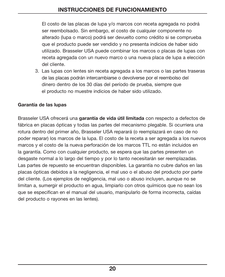El costo de las placas de lupa y/o marcos con receta agregada no podrá ser reembolsado. Sin embargo, el costo de cualquier componente no alterado (lupa o marco) podrá ser devuelto como crédito si se comprueba que el producto puede ser vendido y no presenta indicios de haber sido utilizado. Brasseler USA puede combinar los marcos o placas de lupas con receta agregada con un nuevo marco o una nueva placa de lupa a elección del cliente.

3. Las lupas con lentes sin receta agregada a los marcos o las partes traseras de las placas podrán intercambiarse o devolverse por el reembolso del dinero dentro de los 30 días del período de prueba, siempre que el producto no muestre indicios de haber sido utilizado.

#### Garantía de las lupas

Brasseler USA ofrecerá una garantía de vida útil limitada con respecto a defectos de fábrica en placas ópticas y todas las partes del mecanismo plegable. Si ocurriera una rotura dentro del primer año, Brasseler USA reparará (o reemplazará en caso de no poder reparar) los marcos de la lupa. El costo de la receta a ser agregada a los nuevos marcos y el costo de la nueva perforación de los marcos TTL no están incluidos en la garantía. Como con cualquier producto, se espera que las partes presenten un desgaste normal a lo largo del tiempo y por lo tanto necesitarán ser reemplazadas. Las partes de repuesto se encuentran disponibles. La garantía no cubre daños en las placas ópticas debidos a la negligencia, el mal uso o el abuso del producto por parte del cliente. (Los ejemplos de negligencia, mal uso o abuso incluyen, aunque no se limitan a, sumergir el producto en agua, limpiarlo con otros químicos que no sean los que se especifican en el manual del usuario, manipularlo de forma incorrecta, caídas del producto o rayones en las lentes).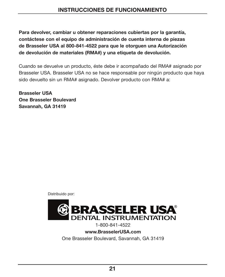Para devolver, cambiar u obtener reparaciones cubiertas por la garantía, contáctese con el equipo de administración de cuenta interna de piezas de Brasseler USA al 800-841-4522 para que le otorguen una Autorización de devolución de materiales (RMA#) y una etiqueta de devolución.

Cuando se devuelve un producto, éste debe ir acompañado del RMA# asignado por Brasseler USA. Brasseler USA no se hace responsable por ningún producto que haya sido devuelto sin un RMA# asignado. Devolver producto con RMA# a:

Brasseler USA One Brasseler Boulevard Savannah, GA 31419

Distribuido por:



1-800-841-4522

www.BrasselerUSA.com

One Brasseler Boulevard, Savannah, GA 31419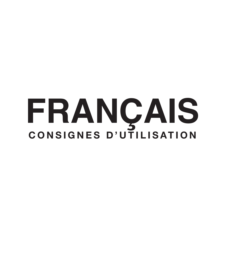# **FRANÇAIS** CONSIGNES D'UTILISATION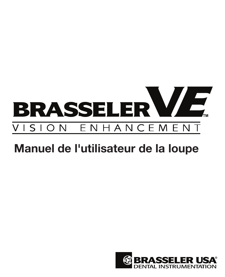

# Manuel de l'utilisateur de la loupe

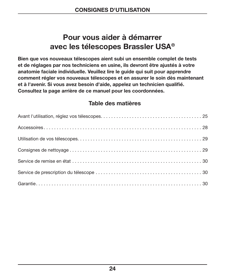## Pour vous aider à démarrer avec les télescopes Brassler USA®

Bien que vos nouveaux télescopes aient subi un ensemble complet de tests et de réglages par nos techniciens en usine, ils devront être ajustés à votre anatomie faciale individuelle. Veuillez lire le guide qui suit pour apprendre comment régler vos nouveaux télescopes et en assurer le soin dès maintenant et à l'avenir. Si vous avez besoin d'aide, appelez un technicien qualifié. Consultez la page arrière de ce manuel pour les coordonnées.

#### Table des matières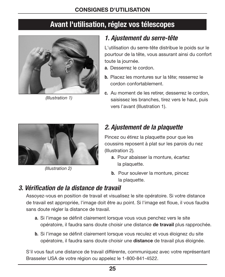## Avant l'utilisation, réglez vos télescopes



(Illustration 1)

#### 1. Ajustement du serre-tête

L'utilisation du serre-tête distribue le poids sur le pourtour de la tête, vous assurant ainsi du confort toute la journée.

- a. Desserrez le cordon.
- b. Placez les montures sur la tête; resserrez le cordon confortablement.
- c. Au moment de les retirer, desserrez le cordon, saisissez les branches, tirez vers le haut, puis vers l'avant (Illustration 1).



(Illustration 2)

## 2. Ajustement de la plaquette

Pincez ou étirez la plaquette pour que les coussins reposent à plat sur les parois du nez (Illustration 2).

- a. Pour abaisser la monture, écartez la plaquette.
- b. Pour soulever la monture, pincez la plaquette.

## 3. Vérification de la distance de travail

Assoyez-vous en position de travail et visualisez le site opératoire. Si votre distance de travail est appropriée, l'image doit être au point. Si l'image est floue, il vous faudra sans doute régler la distance de travail.

- a. Si l'image se définit clairement lorsque vous vous penchez vers le site opératoire, il faudra sans doute choisir une distance de travail plus rapprochée.
- b. Si l'image se définit clairement lorsque vous reculez et vous éloignez du site opératoire, il faudra sans doute choisir une distance de travail plus éloignée.

S'il vous faut une distance de travail différente, communiquez avec votre représentant Brasseler USA de votre région ou appelez le 1-800-841-4522.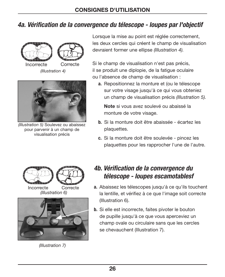### 4a. Vérification de la convergence du télescope - loupes par l'objectif



(Illustration 4)



(Illustration 5) Soulevez ou abaissez pour parvenir à un champ de visualisation précis

Lorsque la mise au point est réglée correctement. les deux cercles qui créent le champ de visualisation devraient former une ellipse (Illustration 4).

Si le champ de visualisation n'est pas précis, il se produit une diplopie, de la fatigue oculaire ou l'absence de champ de visualisation :

a. Repositionnez la monture et (ou le télescope sur votre visage jusqu'à ce qui vous obteniez un champ de visualisation précis (Illustration 5).

 Note si vous avez soulevé ou abaissé la monture de votre visage.

- b. Si la monture doit être abaissée écartez les plaquettes.
- c. Si la monture doit être soulevée pincez les plaquettes pour les rapprocher l'une de l'autre.





(Illustration 7)

#### 4b. Vérification de la convergence du télescope - loupes escamotablesf

- Incorrecte Correcte a. Abaissez les télescopes jusqu'à ce qu'ils touchent la lentille, et vérifiez à ce que l'image soit correcte (Illustration 6).
	- b. Si elle est incorrecte, faites pivoter le bouton de pupille jusqu'à ce que vous aperceviez un champ ovale ou circulaire sans que les cercles se chevauchent (Illustration 7).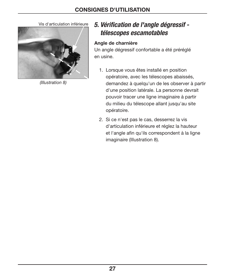

(Illustration 8)

#### Vis d'articulation inférieure 5. Vérification de l'angle dégressif télescopes escamotables

#### Angle de charnière

Un angle dégressif confortable a été préréglé en usine.

- 1. Lorsque vous êtes installé en position opératoire, avec les télescopes abaissés, demandez à quelqu'un de les observer à partir d'une position latérale. La personne devrait pouvoir tracer une ligne imaginaire à partir du milieu du télescope allant jusqu'au site opératoire.
- 2. Si ce n'est pas le cas, desserrez la vis d'articulation inférieure et réglez la hauteur et l'angle afin qu'ils correspondent à la ligne imaginaire (Illustration 8).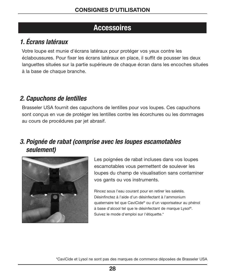## Accessoires

## 1. Écrans latéraux

Votre loupe est munie d'écrans latéraux pour protéger vos yeux contre les éclaboussures. Pour fixer les écrans latéraux en place, il suffit de pousser les deux languettes situées sur la partie supérieure de chaque écran dans les encoches situées à la base de chaque branche.

#### 2. Capuchons de lentilles

Brasseler USA fournit des capuchons de lentilles pour vos loupes. Ces capuchons sont conçus en vue de protéger les lentilles contre les écorchures ou les dommages au cours de procédures par jet abrasif.

#### 3. Poignée de rabat (comprise avec les loupes escamotables seulement)



Les poignées de rabat incluses dans vos loupes escamotables vous permettent de soulever les loupes du champ de visualisation sans contaminer vos gants ou vos instruments.

Rincez sous l'eau courant pour en retirer les saletés. Désinfinctez à l'aide d'un désinfectant à l'ammonium quaternaire tel que CaviCide® ou d'un vaporisateur au phénol à base d'alcool tel que le désinfectant de marque Lysol®. Suivez le mode d'emploi sur l'étiquette.\*

\*CaviCide et Lysol ne sont pas des marques de commerce déposées de Brasseler USA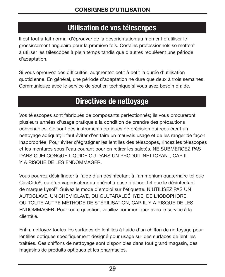## Utilisation de vos télescopes

Il est tout à fait normal d'éprouver de la désorientation au moment d'utiliser le grossissement angulaire pour la première fois. Certains professionnels se mettent à utiliser les télescopes à plein temps tandis que d'autres requièrent une période d'adaptation.

Si vous éprouvez des difficultés, augmentez petit à petit la durée d'utilisation quotidienne. En général, une période d'adaptation ne dure que deux à trois semaines. Communiquez avec le service de soutien technique si vous avez besoin d'aide.

## Directives de nettoyage

Vos télescopes sont fabriqués de composants perfectionnés; ils vous procureront plusieurs années d'usage pratique à la condition de prendre des précautions convenables. Ce sont des instruments optiques de précision qui requièrent un nettoyage adéquat; il faut éviter d'en faire un mauvais usage et de les ranger de façon inappropriée. Pour éviter d'égratigner les lentilles des télescopes, rincez les télescopes et les montures sous l'eau courant pour en retirer les saletés. NE SUBMERGEZ PAS DANS QUELCONQUE LIQUIDE OU DANS UN PRODUIT NETTOYANT, CAR IL Y A RISQUE DE LES ENDOMMAGER.

Vous pourrez désinfincter à l'aide d'un désinfectant à l'ammonium quaternaire tel que CaviCide®, ou d'un vaporisateur au phénol à base d'alcool tel que le désinfectant de marque Lysol®. Suivez le mode d'emploi sur l'étiquette. N'UTILISEZ PAS UN AUTOCLAVE, UN CHEMICLAVE, DU GLUTARALDÉHYDE, DE L'IODOPHORE OU TOUTE AUTRE MÉTHODE DE STÉRILISATION, CAR IL Y A RISQUE DE LES ENDOMMAGER. Pour toute question, veuillez communiquer avec le service à la clientèle.

Enfin, nettoyez toutes les surfaces de lentilles à l'aide d'un chiffon de nettoyage pour lentilles optiques spécifiquement désigné pour usage sur des surfaces de lentilles traitées. Ces chiffons de nettoyage sont disponibles dans tout grand magasin, des magasins de produits optiques et les pharmacies.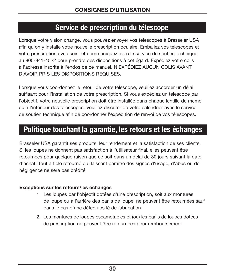## Service de prescription du télescope

Lorsque votre vision change, vous pouvez envoyer vos télescopes à Brasseler USA afin qu'on y installe votre nouvelle prescription oculaire. Emballez vos télescopes et votre prescription avec soin, et communiquez avec le service de soutien technique au 800-841-4522 pour prendre des dispositions à cet égard. Expédiez votre colis à l'adresse inscrite à l'endos de ce manuel. N'EXPÉDIEZ AUCUN COLIS AVANT D'AVOIR PRIS LES DISPOSITIONS REQUISES.

Lorsque vous coordonnez le retour de votre télescope, veuillez accorder un délai suffisant pour l'installation de votre prescription. Si vous expédiez un télescope par l'objectif, votre nouvelle prescription doit être installée dans chaque lentille de même qu'à l'intérieur des télescopes. Veuillez discuter de votre calendrier avec le service de soutien technique afin de coordonner l'expédition de renvoi de vos télescopes.

## Politique touchant la garantie, les retours et les échanges

Brasseler USA garantit ses produits, leur rendement et la satisfaction de ses clients. Si les loupes ne donnent pas satisfaction à l'utilisateur final, elles peuvent être retournées pour quelque raison que ce soit dans un délai de 30 jours suivant la date d'achat. Tout article retourné qui laissent paraître des signes d'usage, d'abus ou de négligence ne sera pas crédité.

#### Exceptions sur les retours/les échanges

- 1. Les loupes par l'objectif dotées d'une prescription, soit aux montures de loupe ou à l'arrière des barils de loupe, ne peuvent être retournées sauf dans le cas d'une défectuosité de fabrication.
- 2. Les montures de loupes escamotables et (ou) les barils de loupes dotées de prescription ne peuvent être retournées pour remboursement.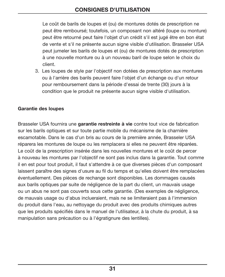Le coût de barils de loupes et (ou) de montures dotés de prescription ne peut être remboursé; toutefois, un composant non altéré (loupe ou monture) peut être retourné peut faire l'objet d'un crédit s'il est jugé être en bon état de vente et s'il ne présente aucun signe visible d'utilisation. Brasseler USA peut jumeler les barils de loupes et (ou) de montures dotés de prescription à une nouvelle monture ou à un nouveau baril de loupe selon le choix du client.

3. Les loupes de style par l'objectif non dotées de prescription aux montures ou à l'arrière des barils peuvent faire l'objet d'un échange ou d'un retour pour remboursement dans la période d'essai de trente (30) jours à la condition que le produit ne présente aucun signe visible d'utilisation.

#### Garantie des loupes

Brasseler USA fournira une garantie restreinte à vie contre tout vice de fabrication sur les barils optiques et sur toute partie mobile du mécanisme de la charnière escamotable. Dans le cas d'un bris au cours de la première année, Brasseler USA réparera les montures de loupe ou les remplacera si elles ne peuvent être réparées. Le coût de la prescription insérée dans les nouvelles montures et le coût de percer à nouveau les montures par l'objectif ne sont pas inclus dans la garantie. Tout comme il en est pour tout produit, il faut s'attendre à ce que diverses pièces d'un composant laissent paraître des signes d'usure au fil du temps et qu'elles doivent être remplacées éventuellement. Des pièces de rechange sont disponibles. Les dommages causés aux barils optiques par suite de négligence de la part du client, un mauvais usage ou un abus ne sont pas couverts sous cette garantie. (Des exemples de négligence, de mauvais usage ou d'abus inclueraient, mais ne se limiteraient pas à l'immersion du produit dans l'eau, au nettoyage du produit avec des produits chimiques autres que les produits spécifiés dans le manuel de l'utilisateur, à la chute du produit, à sa manipulation sans précaution ou à l'égratignure des lentilles).